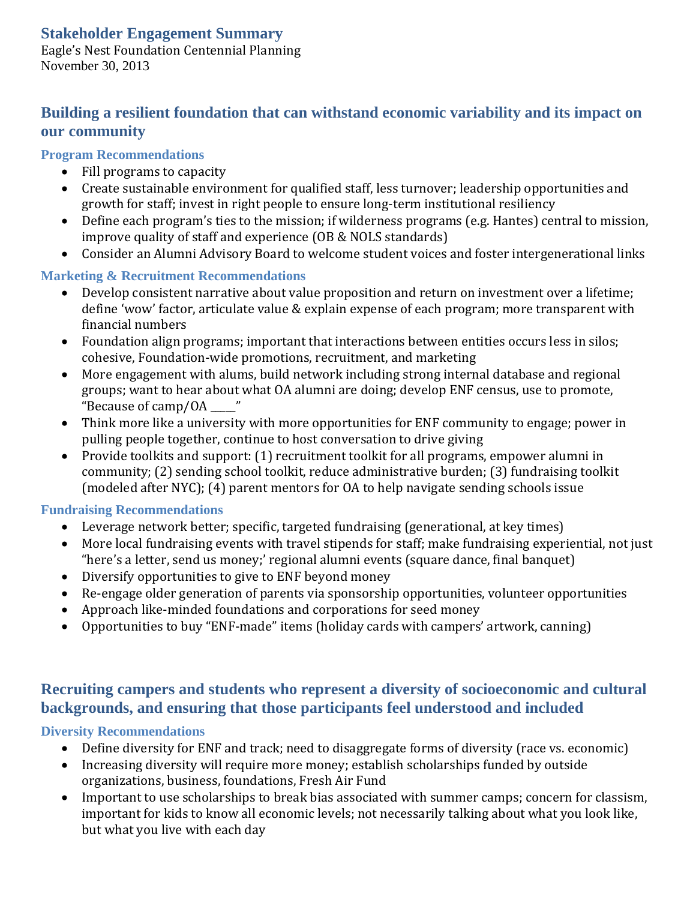## **Stakeholder Engagement Summary**

Eagle's Nest Foundation Centennial Planning November 30, 2013

## **Building a resilient foundation that can withstand economic variability and its impact on our community**

## **Program Recommendations**

- $\bullet$  Fill programs to capacity
- Create sustainable environment for qualified staff, less turnover; leadership opportunities and growth for staff; invest in right people to ensure long-term institutional resiliency
- Define each program's ties to the mission; if wilderness programs (e.g. Hantes) central to mission, improve quality of staff and experience (OB & NOLS standards)
- Consider an Alumni Advisory Board to welcome student voices and foster intergenerational links

## **Marketing & Recruitment Recommendations**

- Develop consistent narrative about value proposition and return on investment over a lifetime; define 'wow' factor, articulate value & explain expense of each program; more transparent with financial numbers
- Foundation align programs; important that interactions between entities occurs less in silos; cohesive, Foundation-wide promotions, recruitment, and marketing
- More engagement with alums, build network including strong internal database and regional groups; want to hear about what OA alumni are doing; develop ENF census, use to promote, "Because of camp/OA  $\frac{1}{\sqrt{2}}$ "
- Think more like a university with more opportunities for ENF community to engage; power in pulling people together, continue to host conversation to drive giving
- Provide toolkits and support:  $(1)$  recruitment toolkit for all programs, empower alumni in community; (2) sending school toolkit, reduce administrative burden; (3) fundraising toolkit (modeled after NYC); (4) parent mentors for OA to help navigate sending schools issue

## **Fundraising Recommendations**

- Leverage network better; specific, targeted fundraising (generational, at key times)
- More local fundraising events with travel stipends for staff; make fundraising experiential, not just "here's a letter, send us money;' regional alumni events (square dance, final banquet)
- Diversify opportunities to give to ENF beyond money
- Re-engage older generation of parents via sponsorship opportunities, volunteer opportunities
- Approach like-minded foundations and corporations for seed money
- Opportunities to buy "ENF-made" items (holiday cards with campers' artwork, canning)

## **Recruiting campers and students who represent a diversity of socioeconomic and cultural backgrounds, and ensuring that those participants feel understood and included**

# **Diversity Recommendations**

- Define diversity for ENF and track; need to disaggregate forms of diversity (race vs. economic)
- Increasing diversity will require more money; establish scholarships funded by outside organizations, business, foundations, Fresh Air Fund
- Important to use scholarships to break bias associated with summer camps; concern for classism, important for kids to know all economic levels; not necessarily talking about what you look like, but what you live with each day